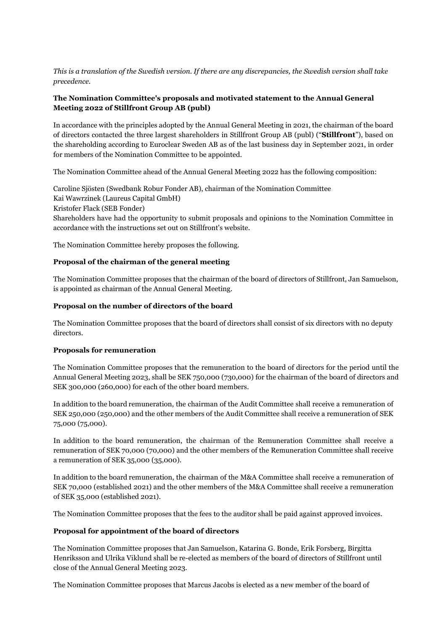*This is a translation of the Swedish version. If there are any discrepancies, the Swedish version shall take precedence.*

# **The Nomination Committee's proposals and motivated statement to the Annual General Meeting 2022 of Stillfront Group AB (publ)**

In accordance with the principles adopted by the Annual General Meeting in 2021, the chairman of the board of directors contacted the three largest shareholders in Stillfront Group AB (publ) ("**Stillfront**"), based on the shareholding according to Euroclear Sweden AB as of the last business day in September 2021, in order for members of the Nomination Committee to be appointed.

The Nomination Committee ahead of the Annual General Meeting 2022 has the following composition:

Caroline Sjösten (Swedbank Robur Fonder AB), chairman of the Nomination Committee Kai Wawrzinek (Laureus Capital GmbH) Kristofer Flack (SEB Fonder) Shareholders have had the opportunity to submit proposals and opinions to the Nomination Committee in accordance with the instructions set out on Stillfront's website.

The Nomination Committee hereby proposes the following.

### **Proposal of the chairman of the general meeting**

The Nomination Committee proposes that the chairman of the board of directors of Stillfront, Jan Samuelson, is appointed as chairman of the Annual General Meeting.

### **Proposal on the number of directors of the board**

The Nomination Committee proposes that the board of directors shall consist of six directors with no deputy directors.

#### **Proposals for remuneration**

The Nomination Committee proposes that the remuneration to the board of directors for the period until the Annual General Meeting 2023, shall be SEK 750,000 (730,000) for the chairman of the board of directors and SEK 300,000 (260,000) for each of the other board members.

In addition to the board remuneration, the chairman of the Audit Committee shall receive a remuneration of SEK 250,000 (250,000) and the other members of the Audit Committee shall receive a remuneration of SEK 75,000 (75,000).

In addition to the board remuneration, the chairman of the Remuneration Committee shall receive a remuneration of SEK 70,000 (70,000) and the other members of the Remuneration Committee shall receive a remuneration of SEK 35,000 (35,000).

In addition to the board remuneration, the chairman of the M&A Committee shall receive a remuneration of SEK 70,000 (established 2021) and the other members of the M&A Committee shall receive a remuneration of SEK 35,000 (established 2021).

The Nomination Committee proposes that the fees to the auditor shall be paid against approved invoices.

#### **Proposal for appointment of the board of directors**

The Nomination Committee proposes that Jan Samuelson, Katarina G. Bonde, Erik Forsberg, Birgitta Henriksson and Ulrika Viklund shall be re-elected as members of the board of directors of Stillfront until close of the Annual General Meeting 2023.

The Nomination Committee proposes that Marcus Jacobs is elected as a new member of the board of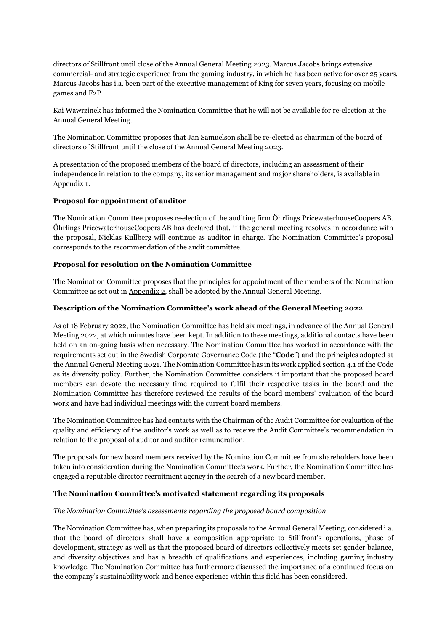directors of Stillfront until close of the Annual General Meeting 2023. Marcus Jacobs brings extensive commercial- and strategic experience from the gaming industry, in which he has been active for over 25 years. Marcus Jacobs has i.a. been part of the executive management of King for seven years, focusing on mobile games and F2P.

Kai Wawrzinek has informed the Nomination Committee that he will not be available for re-election at the Annual General Meeting.

The Nomination Committee proposes that Jan Samuelson shall be re-elected as chairman of the board of directors of Stillfront until the close of the Annual General Meeting 2023.

A presentation of the proposed members of the board of directors, including an assessment of their independence in relation to the company, its senior management and major shareholders, is available in Appendix 1.

### **Proposal for appointment of auditor**

The Nomination Committee proposes re-election of the auditing firm Öhrlings PricewaterhouseCoopers AB. Öhrlings PricewaterhouseCoopers AB has declared that, if the general meeting resolves in accordance with the proposal, Nicklas Kullberg will continue as auditor in charge. The Nomination Committee's proposal corresponds to the recommendation of the audit committee.

#### **Proposal for resolution on the Nomination Committee**

The Nomination Committee proposes that the principles for appointment of the members of the Nomination Committee as set out in Appendix 2, shall be adopted by the Annual General Meeting.

#### **Description of the Nomination Committee's work ahead of the General Meeting 2022**

As of 18 February 2022, the Nomination Committee has held six meetings, in advance of the Annual General Meeting 2022, at which minutes have been kept. In addition to these meetings, additional contacts have been held on an on-going basis when necessary. The Nomination Committee has worked in accordance with the requirements set out in the Swedish Corporate Governance Code (the "**Code**") and the principles adopted at the Annual General Meeting 2021. The Nomination Committee has in its work applied section 4.1 of the Code as its diversity policy. Further, the Nomination Committee considers it important that the proposed board members can devote the necessary time required to fulfil their respective tasks in the board and the Nomination Committee has therefore reviewed the results of the board members' evaluation of the board work and have had individual meetings with the current board members.

The Nomination Committee has had contacts with the Chairman of the Audit Committee for evaluation of the quality and efficiency of the auditor's work as well as to receive the Audit Committee's recommendation in relation to the proposal of auditor and auditor remuneration.

The proposals for new board members received by the Nomination Committee from shareholders have been taken into consideration during the Nomination Committee's work. Further, the Nomination Committee has engaged a reputable director recruitment agency in the search of a new board member.

#### **The Nomination Committee's motivated statement regarding its proposals**

#### *The Nomination Committee's assessments regarding the proposed board composition*

The Nomination Committee has, when preparing its proposals to the Annual General Meeting, considered i.a. that the board of directors shall have a composition appropriate to Stillfront's operations, phase of development, strategy as well as that the proposed board of directors collectively meets set gender balance, and diversity objectives and has a breadth of qualifications and experiences, including gaming industry knowledge. The Nomination Committee has furthermore discussed the importance of a continued focus on the company's sustainability work and hence experience within this field has been considered.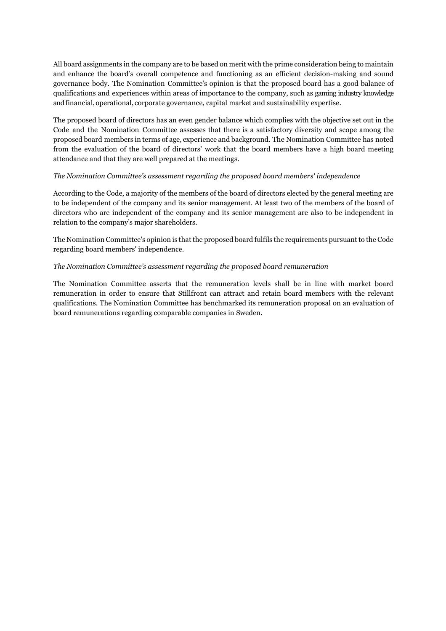All board assignments in the company are to be based on merit with the prime consideration being to maintain and enhance the board's overall competence and functioning as an efficient decision-making and sound governance body. The Nomination Committee's opinion is that the proposed board has a good balance of qualifications and experiences within areas of importance to the company, such as gaming industry knowledge and financial, operational, corporate governance, capital market and sustainability expertise.

The proposed board of directors has an even gender balance which complies with the objective set out in the Code and the Nomination Committee assesses that there is a satisfactory diversity and scope among the proposed board members in terms of age, experience and background. The Nomination Committee has noted from the evaluation of the board of directors' work that the board members have a high board meeting attendance and that they are well prepared at the meetings.

#### *The Nomination Committee's assessment regarding the proposed board members' independence*

According to the Code, a majority of the members of the board of directors elected by the general meeting are to be independent of the company and its senior management. At least two of the members of the board of directors who are independent of the company and its senior management are also to be independent in relation to the company's major shareholders.

The Nomination Committee's opinion is that the proposed board fulfils the requirements pursuant to the Code regarding board members' independence.

#### *The Nomination Committee's assessment regarding the proposed board remuneration*

The Nomination Committee asserts that the remuneration levels shall be in line with market board remuneration in order to ensure that Stillfront can attract and retain board members with the relevant qualifications. The Nomination Committee has benchmarked its remuneration proposal on an evaluation of board remunerations regarding comparable companies in Sweden.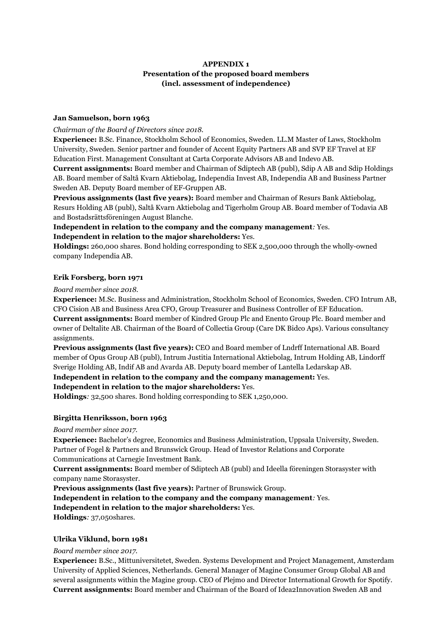# **APPENDIX 1 Presentation of the proposed board members (incl. assessment of independence)**

#### **Jan Samuelson, born 1963**

#### *Chairman of the Board of Directors since 2018.*

**Experience:** B.Sc. Finance, Stockholm School of Economics, Sweden. LL.M Master of Laws, Stockholm University, Sweden. Senior partner and founder of Accent Equity Partners AB and SVP EF Travel at EF Education First. Management Consultant at Carta Corporate Advisors AB and Indevo AB.

**Current assignments:** Board member and Chairman of Sdiptech AB (publ), Sdip A AB and Sdip Holdings AB. Board member of Saltå Kvarn Aktiebolag, Independia Invest AB, Independia AB and Business Partner Sweden AB. Deputy Board member of EF-Gruppen AB.

**Previous assignments (last five years):** Board member and Chairman of Resurs Bank Aktiebolag, Resurs Holding AB (publ), Saltå Kvarn Aktiebolag and Tigerholm Group AB. Board member of Todavia AB and Bostadsrättsföreningen August Blanche.

**Independent in relation to the company and the company management***:* Yes. **Independent in relation to the major shareholders:** Yes.

**Holdings:** 260,000 shares. Bond holding corresponding to SEK 2,500,000 through the wholly-owned company Independia AB.

### **Erik Forsberg, born 1971**

### *Board member since 2018.*

**Experience:** M.Sc. Business and Administration, Stockholm School of Economics, Sweden. CFO Intrum AB, CFO Cision AB and Business Area CFO, Group Treasurer and Business Controller of EF Education.

**Current assignments:** Board member of Kindred Group Plc and Enento Group Plc. Board member and owner of Deltalite AB. Chairman of the Board of Collectia Group (Care DK Bidco Aps). Various consultancy assignments.

**Previous assignments (last five years):** CEO and Board member of Lndrff International AB. Board member of Opus Group AB (publ), Intrum Justitia International Aktiebolag, Intrum Holding AB, Lindorff Sverige Holding AB, Indif AB and Avarda AB. Deputy board member of Lantella Ledarskap AB.

**Independent in relation to the company and the company management:** Yes.

# **Independent in relation to the major shareholders:** Yes.

**Holdings***:* 32,500 shares. Bond holding corresponding to SEK 1,250,000.

# **Birgitta Henriksson, born 1963**

#### *Board member since 2017.*

**Experience:** Bachelor's degree, Economics and Business Administration, Uppsala University, Sweden. Partner of Fogel & Partners and Brunswick Group. Head of Investor Relations and Corporate Communications at Carnegie Investment Bank.

**Current assignments:** Board member of Sdiptech AB (publ) and Ideella föreningen Storasyster with company name Storasyster.

**Previous assignments (last five years):** Partner of Brunswick Group.

**Independent in relation to the company and the company management***:* Yes.

# **Independent in relation to the major shareholders:** Yes.

**Holdings***:* 37,050shares.

# **Ulrika Viklund, born 1981**

*Board member since 2017.*

**Experience:** B.Sc., Mittuniversitetet, Sweden. Systems Development and Project Management, Amsterdam University of Applied Sciences, Netherlands. General Manager of Magine Consumer Group Global AB and several assignments within the Magine group. CEO of Plejmo and Director International Growth for Spotify. **Current assignments:** Board member and Chairman of the Board of Idea2Innovation Sweden AB and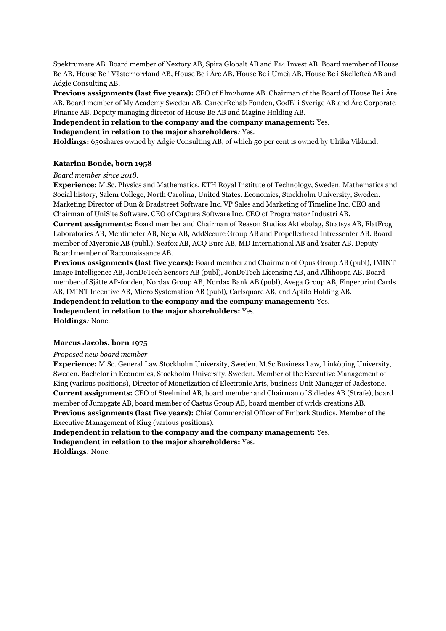Spektrumare AB. Board member of Nextory AB, Spira Globalt AB and E14 Invest AB. Board member of House Be AB, House Be i Västernorrland AB, House Be i Åre AB, House Be i Umeå AB, House Be i Skellefteå AB and Adgie Consulting AB.

**Previous assignments (last five years):** CEO of film2home AB. Chairman of the Board of House Be i Åre AB. Board member of My Academy Sweden AB, CancerRehab Fonden, GodEl i Sverige AB and Åre Corporate Finance AB. Deputy managing director of House Be AB and Magine Holding AB.

**Independent in relation to the company and the company management:** Yes.

**Independent in relation to the major shareholders***:* Yes.

**Holdings:** 650shares owned by Adgie Consulting AB, of which 50 per cent is owned by Ulrika Viklund.

#### **Katarina Bonde, born 1958**

#### *Board member since 2018.*

**Experience:** M.Sc. Physics and Mathematics, KTH Royal Institute of Technology, Sweden. Mathematics and Social history, Salem College, North Carolina, United States. Economics, Stockholm University, Sweden. Marketing Director of Dun & Bradstreet Software Inc. VP Sales and Marketing of Timeline Inc. CEO and Chairman of UniSite Software. CEO of Captura Software Inc. CEO of Programator Industri AB. **Current assignments:** Board member and Chairman of Reason Studios Aktiebolag, Stratsys AB, FlatFrog Laboratories AB, Mentimeter AB, Nepa AB, AddSecure Group AB and Propellerhead Intressenter AB. Board member of Mycronic AB (publ.), Seafox AB, ACQ Bure AB, MD International AB and Ysäter AB. Deputy Board member of Racoonaissance AB.

**Previous assignments (last five years):** Board member and Chairman of Opus Group AB (publ), IMINT Image Intelligence AB, JonDeTech Sensors AB (publ), JonDeTech Licensing AB, and Allihoopa AB. Board member of Sjätte AP-fonden, Nordax Group AB, Nordax Bank AB (publ), Avega Group AB, Fingerprint Cards AB, IMINT Incentive AB, Micro Systemation AB (publ), Carlsquare AB, and Aptilo Holding AB. **Independent in relation to the company and the company management:** Yes. **Independent in relation to the major shareholders:** Yes. **Holdings***:* None.

#### **Marcus Jacobs, born 1975**

#### *Proposed new board member*

**Experience:** M.Sc. General Law Stockholm University, Sweden. M.Sc Business Law, Linköping University, Sweden. Bachelor in Economics, Stockholm University, Sweden. Member of the Executive Management of King (various positions), Director of Monetization of Electronic Arts, business Unit Manager of Jadestone. **Current assignments:** CEO of Steelmind AB, board member and Chairman of Sidledes AB (Strafe), board member of Jumpgate AB, board member of Castus Group AB, board member of wrlds creations AB. **Previous assignments (last five years):** Chief Commercial Officer of Embark Studios, Member of the Executive Management of King (various positions).

**Independent in relation to the company and the company management:** Yes. **Independent in relation to the major shareholders:** Yes. **Holdings***:* None.